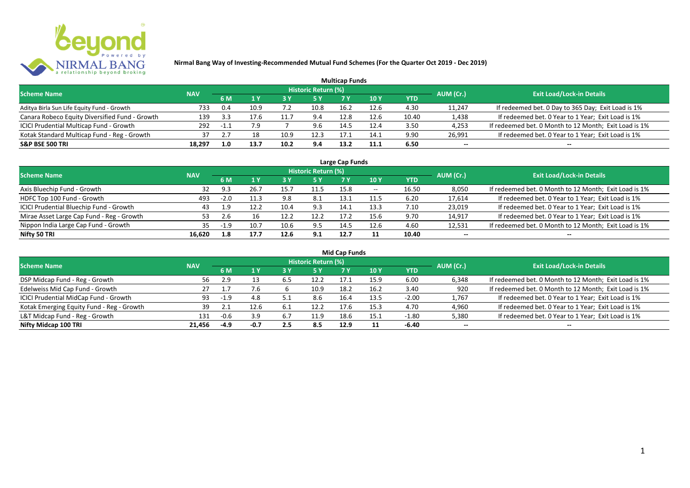

| <b>Multicap Funds</b>                          |            |      |      |      |                     |      |      |       |           |                                                       |  |  |  |  |
|------------------------------------------------|------------|------|------|------|---------------------|------|------|-------|-----------|-------------------------------------------------------|--|--|--|--|
| <b>Scheme Name</b>                             | <b>NAV</b> |      |      |      | Historic Return (%) |      |      |       | AUM (Cr.) | <b>Exit Load/Lock-in Details</b>                      |  |  |  |  |
|                                                |            | 6 M  |      |      |                     |      | 10 Y | YTD   |           |                                                       |  |  |  |  |
| Aditya Birla Sun Life Equity Fund - Growth     | 733        | 0.4  | 10.9 |      | 10.8                | 16.2 | 12.6 | 4.30  | 11,247    | If redeemed bet. 0 Day to 365 Day; Exit Load is 1%    |  |  |  |  |
| Canara Robeco Equity Diversified Fund - Growth | 139        | -3.3 | 17.6 |      | 9.4                 | 12.8 | 12.6 | 10.40 | 1,438     | If redeemed bet. 0 Year to 1 Year; Exit Load is 1%    |  |  |  |  |
| ICICI Prudential Multicap Fund - Growth        | 292        | $-1$ |      |      | 9.6                 | 14.5 | 12.4 | 3.50  | 4,253     | If redeemed bet. 0 Month to 12 Month; Exit Load is 1% |  |  |  |  |
| Kotak Standard Multicap Fund - Reg - Growth    | 37         |      |      | 10.9 | 12.3                | 17.1 | 14.1 | 9.90  | 26,991    | If redeemed bet. 0 Year to 1 Year; Exit Load is 1%    |  |  |  |  |
| <b>S&amp;P BSE 500 TRI</b>                     | 18,297     | 1.0  | 13.7 | 10.2 | 9.4                 | 13.2 | 11.1 | 6.50  | --        | $- -$                                                 |  |  |  |  |

| Large Cap Funds                           |            |           |      |      |                            |      |                          |       |           |                                                       |  |  |  |
|-------------------------------------------|------------|-----------|------|------|----------------------------|------|--------------------------|-------|-----------|-------------------------------------------------------|--|--|--|
| <b>Scheme Name</b>                        | <b>NAV</b> |           |      |      | <b>Historic Return (%)</b> |      |                          |       | AUM (Cr.) | <b>Exit Load/Lock-in Details</b>                      |  |  |  |
|                                           |            | <b>6M</b> |      |      | <b>5 Y</b>                 | 7 Y  | 10Y                      | YTD   |           |                                                       |  |  |  |
| Axis Bluechip Fund - Growth               | 32         | 9.3       | 2b.7 |      | 11.5                       | 15.8 | $\overline{\phantom{a}}$ | 16.50 | 8,050     | If redeemed bet. 0 Month to 12 Month; Exit Load is 1% |  |  |  |
| HDFC Top 100 Fund - Growth                | 493        | $-2.0$    | 11.3 | 9.8  | 8.1                        | 13.1 | 11.5                     | 6.20  | 17,614    | If redeemed bet. 0 Year to 1 Year; Exit Load is 1%    |  |  |  |
| ICICI Prudential Bluechip Fund - Growth   | 43         | 1.9       | 12.2 | 10.4 | 9.3                        | 14.1 | 13.3                     | 7.10  | 23,019    | If redeemed bet. 0 Year to 1 Year; Exit Load is 1%    |  |  |  |
| Mirae Asset Large Cap Fund - Reg - Growth | 53         | 2.6       |      |      | 12.2                       | 17.2 | 15.6                     | 9.70  | 14,917    | If redeemed bet. 0 Year to 1 Year; Exit Load is 1%    |  |  |  |
| Nippon India Large Cap Fund - Growth      | 35.        | $-1.9$    | 10.7 |      | 9.5                        | 14.5 | 12.6                     | 4.60  | 12,531    | If redeemed bet. 0 Month to 12 Month; Exit Load is 1% |  |  |  |
| Nifty 50 TRI                              | 16.620     | 1.8       | 17.7 | 12.6 | 9.1                        | 12.7 |                          | 10.40 | $- -$     | $- -$                                                 |  |  |  |

| <b>Mid Cap Funds</b>                      |            |        |        |     |                            |      |      |            |           |                                                       |  |  |  |
|-------------------------------------------|------------|--------|--------|-----|----------------------------|------|------|------------|-----------|-------------------------------------------------------|--|--|--|
| <b>Scheme Name</b>                        | <b>NAV</b> |        |        |     | <b>Historic Return (%)</b> |      |      |            | AUM (Cr.) | <b>Exit Load/Lock-in Details</b>                      |  |  |  |
|                                           |            | 6 M    |        |     | 5 Y                        | 7 Y  | 10 Y | <b>YTD</b> |           |                                                       |  |  |  |
| DSP Midcap Fund - Reg - Growth            | 56         | 2.9    |        | 6.5 | 12.2                       | 17.1 | 15.9 | 6.00       | 6,348     | If redeemed bet. 0 Month to 12 Month; Exit Load is 1% |  |  |  |
| Edelweiss Mid Cap Fund - Growth           | 27         |        | 7.6    |     | 10.9                       | 18.2 | 16.2 | 3.40       | 920       | If redeemed bet. 0 Month to 12 Month; Exit Load is 1% |  |  |  |
| ICICI Prudential MidCap Fund - Growth     | 93         | $-1.9$ | 4.8    | ς.  | 8.6                        | 16.4 | 13.5 | $-2.00$    | 1,767     | If redeemed bet. 0 Year to 1 Year; Exit Load is 1%    |  |  |  |
| Kotak Emerging Equity Fund - Reg - Growth | 39         |        | 12.6   |     | 12.2                       | 17.6 | 15.3 | 4.70       | 4,960     | If redeemed bet. 0 Year to 1 Year; Exit Load is 1%    |  |  |  |
| L&T Midcap Fund - Reg - Growth            | 131        | $-0.6$ | 3.9    | 6.7 | 11.9                       | 18.6 | 15.1 | $-1.80$    | 5,380     | If redeemed bet. 0 Year to 1 Year; Exit Load is 1%    |  |  |  |
| Nifty Midcap 100 TRI                      | 21.456     | -4.9   | $-0.7$ | 2.5 | 8.5                        | 12.9 |      | -6.40      | $- -$     | $- -$                                                 |  |  |  |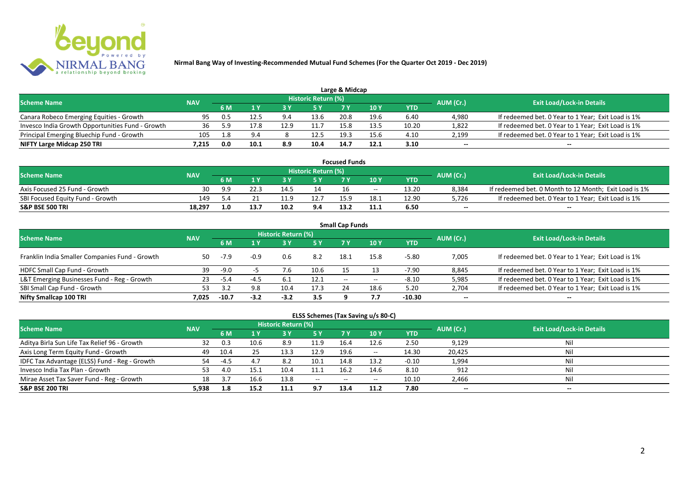

|                                                  |            |     |      |           |                            | Large & Midcap |      |       |           |                                                    |
|--------------------------------------------------|------------|-----|------|-----------|----------------------------|----------------|------|-------|-----------|----------------------------------------------------|
| <b>Scheme Name</b>                               | <b>NAV</b> |     |      |           | <b>Historic Return (%)</b> |                |      |       | AUM (Cr.) | <b>Exit Load/Lock-in Details</b>                   |
|                                                  |            | 6 M |      |           | 5 Y                        |                |      | YTD   |           |                                                    |
| Canara Robeco Emerging Equities - Growth         | 95         | 0.5 | 12.5 | $9\Delta$ | 13.6                       | 20.8           | 19.6 | 6.40  | 4,980     | If redeemed bet. 0 Year to 1 Year; Exit Load is 1% |
| Invesco India Growth Opportunities Fund - Growth |            | 59  | 17.8 |           |                            | 15.8           | 13.5 | 10.20 | 1,822     | If redeemed bet. 0 Year to 1 Year; Exit Load is 1% |
| Principal Emerging Bluechip Fund - Growth        | 105        | 1.8 | 9.4  |           | 12.5                       | 19.5           | 15.6 | 4.10  | 2,199     | If redeemed bet. 0 Year to 1 Year; Exit Load is 1% |
| NIFTY Large Midcap 250 TRI                       | 7.215      | 0.0 | 10.1 | 8.9       | 10.4                       | 14.7           | 12.1 | 3.10  | $- -$     | $- -$                                              |

| <b>Focused Funds</b>             |            |     |  |      |                            |      |       |       |           |                                                       |  |  |  |
|----------------------------------|------------|-----|--|------|----------------------------|------|-------|-------|-----------|-------------------------------------------------------|--|--|--|
| <b>Scheme Name</b>               | <b>NAV</b> |     |  |      | <b>Historic Return (%)</b> |      |       |       | AUM (Cr.) | <b>Exit Load/Lock-in Details</b>                      |  |  |  |
|                                  |            | 6 M |  |      | 5 Y                        |      | 10 Y  | YTD   |           |                                                       |  |  |  |
| Axis Focused 25 Fund - Growth    | 30         | 9.9 |  | 14.5 | 14                         |      | $- -$ | 13.20 | 8,384     | If redeemed bet. 0 Month to 12 Month; Exit Load is 1% |  |  |  |
| SBI Focused Equity Fund - Growth | 149        |     |  | 11.9 | 12.7                       | 15 Q | 18.1  | 12.90 | 5,726     | If redeemed bet. 0 Year to 1 Year; Exit Load is 1%    |  |  |  |
| <b>S&amp;P BSE 500 TRI</b>       | 18,297     | 1.0 |  | 10.2 | 9.4                        | 13.2 |       | 6.50  | $- -$     | $-$                                                   |  |  |  |

| <b>Small Cap Funds</b>                         |            |         |        |                            |      |                          |            |            |           |                                                    |  |  |  |
|------------------------------------------------|------------|---------|--------|----------------------------|------|--------------------------|------------|------------|-----------|----------------------------------------------------|--|--|--|
| <b>Scheme Name</b>                             | <b>NAV</b> |         |        | <b>Historic Return (%)</b> |      |                          |            |            | AUM (Cr.) | <b>Exit Load/Lock-in Details</b>                   |  |  |  |
|                                                |            | 6 M     |        |                            | 5 Y  | 7V                       | <b>10Y</b> | <b>YTD</b> |           |                                                    |  |  |  |
| Franklin India Smaller Companies Fund - Growth | 50         | -7.9    | $-0.9$ | 0.6                        | 8.2  | 18.1                     | 15.8       | $-5.80$    | 7,005     | If redeemed bet. 0 Year to 1 Year; Exit Load is 1% |  |  |  |
| HDFC Small Cap Fund - Growth                   | 39         | $-9.0$  |        |                            | 10.6 |                          |            | $-7.90$    | 8,845     | If redeemed bet. 0 Year to 1 Year; Exit Load is 1% |  |  |  |
| L&T Emerging Businesses Fund - Reg - Growth    | 23         | $-5.4$  | $-4.5$ | 6.1                        | 12.1 | $\overline{\phantom{a}}$ | $- -$      | $-8.10$    | 5,985     | If redeemed bet. 0 Year to 1 Year; Exit Load is 1% |  |  |  |
| SBI Small Cap Fund - Growth                    | 53         |         | 9.8    | 10.4                       | 17.3 | 24                       | 18.6       | 5.20       | 2,704     | If redeemed bet. 0 Year to 1 Year; Exit Load is 1% |  |  |  |
| Nifty Smallcap 100 TRI                         | 7.025      | $-10.7$ | $-3.2$ | $-3.2$                     | 3.5  |                          |            | $-10.30$   | $- -$     | $- -$                                              |  |  |  |

## **ELSS Schemes (Tax Saving u/s 80-C)**

| <b>Scheme Name</b>                            | <b>NAV</b> |      |      | Historic Return (%) |        |           |            |            | AUM (Cr.) | <b>Exit Load/Lock-in Details</b> |
|-----------------------------------------------|------------|------|------|---------------------|--------|-----------|------------|------------|-----------|----------------------------------|
|                                               |            | 6 M  |      | 3 Y                 | 5 Y    | <b>7Y</b> | <b>10Y</b> | <b>YTD</b> |           |                                  |
| Aditya Birla Sun Life Tax Relief 96 - Growth  |            |      | 10.6 | 8.9                 | 11.9   | 16.4      | 12.6       | 2.50       | 9,129     | Nil                              |
| Axis Long Term Equity Fund - Growth           | 49         | 10.4 |      | 13.3                | 12.9   | 19.6      | $- -$      | 14.30      | 20,425    | Nil                              |
| IDFC Tax Advantage (ELSS) Fund - Reg - Growth |            | -45  | 4.7  | 8.2                 | 10.1   | 14.8      | 13.2       | $-0.10$    | 1,994     | Nil                              |
| Invesco India Tax Plan - Growth               | 53.        | 4.O  | 15.1 | 10.4                | 11.1   | 16.2      | 14.6       | 8.10       | 912       | Nil                              |
| Mirae Asset Tax Saver Fund - Reg - Growth     | 18         |      | 16.6 | 13.8                | $  \,$ | $- -$     | $- -$      | 10.10      | 2,466     | Nil                              |
| <b>S&amp;P BSE 200 TRI</b>                    | 5.938      | 1.8  | 15.2 | 11.1                | 9.7    | 13.4      | 11.2       | 7.80       | $- -$     | $- -$                            |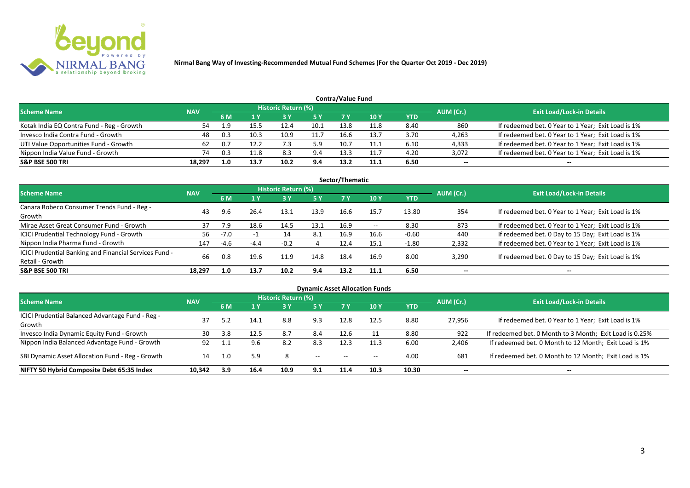

|                                           |            |     |      |                            |           | Contra/Value Fund |      |      |           |                                                    |
|-------------------------------------------|------------|-----|------|----------------------------|-----------|-------------------|------|------|-----------|----------------------------------------------------|
| <b>Scheme Name</b>                        | <b>NAV</b> |     |      | <b>Historic Return (%)</b> |           |                   |      |      | AUM (Cr.) | <b>Exit Load/Lock-in Details</b>                   |
|                                           |            | 6 M |      |                            | <b>5Y</b> |                   | 10 Y | YTD  |           |                                                    |
| Kotak India EQ Contra Fund - Reg - Growth | 54         | 1.9 |      | 12.4                       | 10.1      | 13.8              | 11.8 | 8.40 | 860       | If redeemed bet. 0 Year to 1 Year; Exit Load is 1% |
| Invesco India Contra Fund - Growth        | 48         | 0.3 | 10.3 | 10.9                       | 11.7      | 16.6              | 13.7 | 3.70 | 4,263     | If redeemed bet. 0 Year to 1 Year; Exit Load is 1% |
| UTI Value Opportunities Fund - Growth     | 62         |     | 12.2 |                            | 5.9       | 10.7              | 11.1 | 6.10 | 4,333     | If redeemed bet. 0 Year to 1 Year; Exit Load is 1% |
| Nippon India Value Fund - Growth          | 74         |     |      | 8.3                        | 9.4       | 13.5              | 11.7 | 4.20 | 3,072     | If redeemed bet. 0 Year to 1 Year; Exit Load is 1% |
| <b>S&amp;P BSE 500 TRI</b>                | 18.297     | 1.0 | 13.7 | 10.2                       | 9.4       | 13.2              | 11.1 | 6.50 | $- -$     | $- -$                                              |

| Sector/Thematic                                        |            |        |        |                     |            |      |       |            |           |                                                    |  |  |  |
|--------------------------------------------------------|------------|--------|--------|---------------------|------------|------|-------|------------|-----------|----------------------------------------------------|--|--|--|
| <b>Scheme Name</b>                                     | <b>NAV</b> |        |        | Historic Return (%) |            |      |       |            | AUM (Cr.) | <b>Exit Load/Lock-in Details</b>                   |  |  |  |
|                                                        |            | 6 M    | 1 Y    | <b>73 Y</b>         | <b>5 Y</b> | 7 Y  | 10Y   | <b>YTD</b> |           |                                                    |  |  |  |
| Canara Robeco Consumer Trends Fund - Reg -             | 43         | 9.6    | 26.4   | 13.1                | 13.9       | 16.6 | 15.7  | 13.80      | 354       | If redeemed bet. 0 Year to 1 Year; Exit Load is 1% |  |  |  |
| Growth                                                 |            |        |        |                     |            |      |       |            |           |                                                    |  |  |  |
| Mirae Asset Great Consumer Fund - Growth               | 37         | 7.9    | 18.6   | 14.5                | 13.1       | 16.9 | $- -$ | 8.30       | 873       | If redeemed bet. 0 Year to 1 Year; Exit Load is 1% |  |  |  |
| <b>ICICI Prudential Technology Fund - Growth</b>       | 56         | $-7.0$ | ÷      | 14                  | 8.1        | 16.9 | 16.6  | $-0.60$    | 440       | If redeemed bet. 0 Day to 15 Day; Exit Load is 1%  |  |  |  |
| Nippon India Pharma Fund - Growth                      | 147        | $-4.6$ | $-4.4$ | $-0.2$              | 4          | 12.4 | 15.1  | $-1.80$    | 2,332     | If redeemed bet. 0 Year to 1 Year; Exit Load is 1% |  |  |  |
| ICICI Prudential Banking and Financial Services Fund - |            |        |        |                     |            |      |       |            |           |                                                    |  |  |  |
| Retail - Growth                                        | 66         | 0.8    | 19.6   | 11.9                | 14.8       | 18.4 | 16.9  | 8.00       | 3,290     | If redeemed bet. 0 Day to 15 Day; Exit Load is 1%  |  |  |  |
| <b>S&amp;P BSE 500 TRI</b>                             | 18.297     | 1.0    | 13.7   | 10.2                | 9.4        | 13.2 | 11.1  | 6.50       | --        | $- -$                                              |  |  |  |

|                                                            |            |      |                |                     |               |           | <b>Dynamic Asset Allocation Funds</b> |            |           |                                                         |
|------------------------------------------------------------|------------|------|----------------|---------------------|---------------|-----------|---------------------------------------|------------|-----------|---------------------------------------------------------|
| <b>Scheme Name</b>                                         | <b>NAV</b> |      |                | Historic Return (%) |               |           |                                       |            | AUM (Cr.) | <b>Exit Load/Lock-in Details</b>                        |
|                                                            |            |      | 1 <sub>Y</sub> | <b>3 Y</b>          | 5Y            | <b>7Y</b> | <b>10Y</b>                            | <b>YTD</b> |           |                                                         |
| ICICI Prudential Balanced Advantage Fund - Reg -<br>Growth |            |      | 14.1           | 8.8                 | 9.3           | 12.8      | 12.5                                  | 8.80       | 27,956    | If redeemed bet. 0 Year to 1 Year; Exit Load is 1%      |
| Invesco India Dynamic Equity Fund - Growth                 | 30         | 3.8  | 12.5           | 8.7                 | 8.4           | 12.6      |                                       | 8.80       | 922       | If redeemed bet. 0 Month to 3 Month; Exit Load is 0.25% |
| Nippon India Balanced Advantage Fund - Growth              | 92         |      | 9.6            | 8.2                 | 8.3           | 12.3      | 11.3                                  | 6.00       | 2,406     | If redeemed bet. 0 Month to 12 Month; Exit Load is 1%   |
| SBI Dynamic Asset Allocation Fund - Reg - Growth           | 14         | -1.0 | 5.9            | 8                   | $\sim$ $\sim$ | $-$       | $\overline{\phantom{a}}$              | 4.00       | 681       | If redeemed bet. 0 Month to 12 Month; Exit Load is 1%   |
| NIFTY 50 Hybrid Composite Debt 65:35 Index                 | 10,342     | 3.9  | 16.4           | 10.9                | 9.1           | 11.4      | 10.3                                  | 10.30      | $- -$     | $- -$                                                   |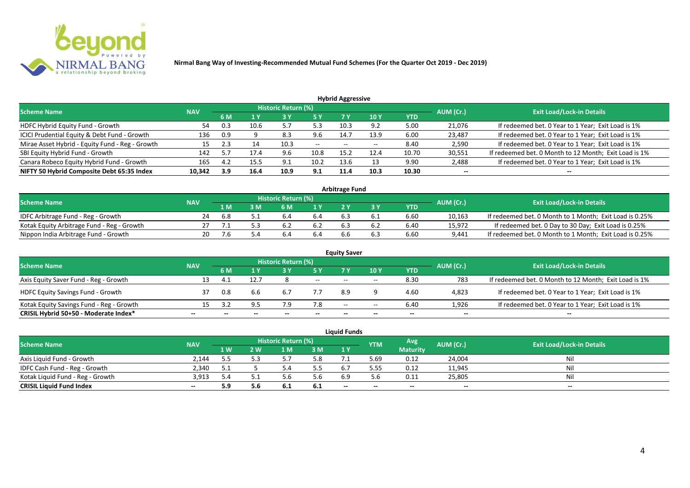

| <b>Hybrid Aggressive</b>                        |            |     |      |                            |                          |       |       |            |           |                                                       |  |  |  |
|-------------------------------------------------|------------|-----|------|----------------------------|--------------------------|-------|-------|------------|-----------|-------------------------------------------------------|--|--|--|
| <b>Scheme Name</b>                              | <b>NAV</b> |     |      | <b>Historic Return (%)</b> |                          |       |       |            | AUM (Cr.) | <b>Exit Load/Lock-in Details</b>                      |  |  |  |
|                                                 |            | 6 M |      |                            | 5 Y                      | 7 Y   | 10Y   | <b>YTD</b> |           |                                                       |  |  |  |
| HDFC Hybrid Equity Fund - Growth                | 54         |     | 10.6 |                            | 52                       | 10.3  | ר ם   | 5.00       | 21,076    | If redeemed bet. 0 Year to 1 Year; Exit Load is 1%    |  |  |  |
| ICICI Prudential Equity & Debt Fund - Growth    | 136        | 0.9 |      | 8.3                        | 9.6                      | 14.7  | 13.9  | 6.00       | 23,487    | If redeemed bet. 0 Year to 1 Year; Exit Load is 1%    |  |  |  |
| Mirae Asset Hybrid - Equity Fund - Reg - Growth | 15         | 2.3 | 14   | 10.3                       | $\overline{\phantom{a}}$ | $- -$ | $- -$ | 8.40       | 2,590     | If redeemed bet. 0 Year to 1 Year; Exit Load is 1%    |  |  |  |
| SBI Equity Hybrid Fund - Growth                 | 142        |     | 17.4 | 9.6                        | 10.8                     | 15.2  | 12.4  | 10.70      | 30,551    | If redeemed bet. 0 Month to 12 Month; Exit Load is 1% |  |  |  |
| Canara Robeco Equity Hybrid Fund - Growth       | 165        | 4.2 | 15.5 | 9.1                        | 10.2                     | 13.6  |       | 9.90       | 2,488     | If redeemed bet. 0 Year to 1 Year; Exit Load is 1%    |  |  |  |
| NIFTY 50 Hybrid Composite Debt 65:35 Index      | 10,342     | 3.9 | 16.4 | 10.9                       | 9.1                      | 11.4  | 10.3  | 10.30      | $- -$     |                                                       |  |  |  |

| <b>Arbitrage Fund</b>                      |            |      |   |                     |     |     |     |            |           |                                                         |  |  |  |
|--------------------------------------------|------------|------|---|---------------------|-----|-----|-----|------------|-----------|---------------------------------------------------------|--|--|--|
| <b>Scheme Name</b>                         | <b>NAV</b> |      |   | Historic Return (%) |     |     |     |            | AUM (Cr.) | <b>Exit Load/Lock-in Details</b>                        |  |  |  |
|                                            |            | 1 M  | M | 6 M                 | 1 V |     |     | <b>YTD</b> |           |                                                         |  |  |  |
| IDFC Arbitrage Fund - Reg - Growth         |            | .6.8 |   | b.4                 | 6.4 | 6.3 | b.1 | 6.60       | 10,163    | If redeemed bet. 0 Month to 1 Month; Exit Load is 0.25% |  |  |  |
| Kotak Equity Arbitrage Fund - Reg - Growth |            |      |   |                     |     |     |     | 6.40       | 15,972    | If redeemed bet. 0 Day to 30 Day; Exit Load is 0.25%    |  |  |  |
| Nippon India Arbitrage Fund - Growth       |            |      |   |                     | 6.4 |     |     | 6.60       | 9.441     | If redeemed bet. 0 Month to 1 Month; Exit Load is 0.25% |  |  |  |

|                                          |            |     |      |                            |     | <b>Equity Saver</b> |       |            |           |                                                       |
|------------------------------------------|------------|-----|------|----------------------------|-----|---------------------|-------|------------|-----------|-------------------------------------------------------|
| <b>Scheme Name</b>                       | <b>NAV</b> |     |      | <b>Historic Return (%)</b> |     |                     |       |            | AUM (Cr.) | <b>Exit Load/Lock-in Details</b>                      |
|                                          |            | 6 M |      |                            | 5 Y | 7V                  | 10Y   | <b>YTD</b> |           |                                                       |
| Axis Equity Saver Fund - Reg - Growth    | 13         |     | 12.7 |                            | $-$ | $- -$               | $- -$ | 8.30       | 783       | If redeemed bet. 0 Month to 12 Month; Exit Load is 1% |
| <b>HDFC Equity Savings Fund - Growth</b> |            | 0.8 | 6.6  | b.7                        |     | 8.9                 |       | 4.60       | 4,823     | If redeemed bet. 0 Year to 1 Year; Exit Load is 1%    |
| Kotak Equity Savings Fund - Reg - Growth | 15         |     |      |                            | 7.8 | $- -$               | $- -$ | 6.40       | 1.926     | If redeemed bet. 0 Year to 1 Year; Exit Load is 1%    |
| CRISIL Hybrid 50+50 - Moderate Index*    | $- -$      |     |      |                            |     | --                  | $- -$ | $- -$      | $- -$     | $- -$                                                 |

|                                  |            |     |     |                     |      | <b>Liquid Funds</b>      |            |                 |           |                                  |
|----------------------------------|------------|-----|-----|---------------------|------|--------------------------|------------|-----------------|-----------|----------------------------------|
| <b>Scheme Name</b>               | <b>NAV</b> |     |     | Historic Return (%) |      |                          | <b>YTM</b> | Avg.            | AUM (Cr.) | <b>Exit Load/Lock-in Details</b> |
|                                  |            | 1W  | 2 W | 1 M                 | 3M   | 1Y                       |            | <b>Maturity</b> |           |                                  |
| Axis Liquid Fund - Growth        | 2.144      |     |     |                     | 5.8  |                          | 5.69       | 0.12            | 24,004    | Nil                              |
| IDFC Cash Fund - Reg - Growth    | 2,340      |     |     |                     | 5.5  | 6.7                      | 5.55       | 0.12            | 11,945    | <b>Nil</b>                       |
| Kotak Liquid Fund - Reg - Growth | 3,913      | 5.4 |     |                     | 5.6  | 6.9                      |            | 0.11            | 25,805    | Nil                              |
| <b>CRISIL Liquid Fund Index</b>  | $- -$      | 5.9 | 5.6 | 0. L                | -6.1 | $\overline{\phantom{a}}$ | $- -$      | $- -$           | $- -$     | $ -$                             |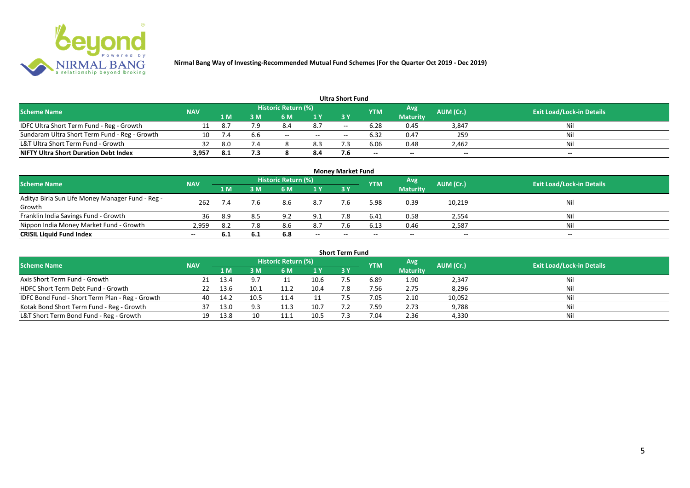

|                                               |            |      |     |                     |       | <b>Ultra Short Fund</b>  |                          |                 |                          |                                  |
|-----------------------------------------------|------------|------|-----|---------------------|-------|--------------------------|--------------------------|-----------------|--------------------------|----------------------------------|
| <b>Scheme Name</b>                            | <b>NAV</b> |      |     | Historic Return (%) |       |                          | <b>YTM</b>               | Avg             | AUM (Cr.)                | <b>Exit Load/Lock-in Details</b> |
|                                               |            | 1 M  | sм  | 6 M                 | 1 Y   | 73 Y                     |                          | <b>Maturity</b> |                          |                                  |
| IDFC Ultra Short Term Fund - Reg - Growth     |            | -8.7 | 7.9 | 8.4                 | 8.7   | $\overline{\phantom{a}}$ | 6.28                     | 0.45            | 3,847                    | Nil                              |
| Sundaram Ultra Short Term Fund - Reg - Growth | 10         |      | b.b | $- -$               | $- -$ | $- -$                    | 6.32                     | 0.47            | 259                      | Nil                              |
| L&T Ultra Short Term Fund - Growth            | 32         | 8.0  | 7.4 |                     | 8.3   |                          | 6.06                     | 0.48            | 2,462                    | Nil                              |
| <b>NIFTY Ultra Short Duration Debt Index</b>  | 3,957      | -8.1 | 7.3 |                     | 8.4   |                          | $\overline{\phantom{a}}$ | $-$             | $\overline{\phantom{a}}$ | $-$                              |

|                                                            |            |      |      |                            |       | <b>Money Market Fund</b> |            |                 |           |                                  |
|------------------------------------------------------------|------------|------|------|----------------------------|-------|--------------------------|------------|-----------------|-----------|----------------------------------|
| <b>Scheme Name</b>                                         | <b>NAV</b> |      |      | <b>Historic Return (%)</b> |       |                          | <b>YTM</b> | Avg             | AUM (Cr.) | <b>Exit Load/Lock-in Details</b> |
|                                                            |            | 1 M  | 3 M  | 6 M                        | 1 Y   | <b>3Y</b>                |            | <b>Maturity</b> |           |                                  |
| Aditya Birla Sun Life Money Manager Fund - Reg -<br>Growth | 262        |      | 7.6  | 8.6                        | 8.7   | 7.6                      | 5.98       | 0.39            | 10,219    | Nil                              |
| Franklin India Savings Fund - Growth                       | 36         | -8.9 |      | റ റ                        | 9.1   |                          | 6.41       | 0.58            | 2,554     | Nil                              |
| Nippon India Money Market Fund - Growth                    | 2,959      | 8.2  | 7.8  | 8.6                        | 8.7   | 7.6                      | 6.13       | 0.46            | 2,587     | Nil                              |
| <b>CRISIL Liquid Fund Index</b>                            | $- -$      | 6.1  | -6.1 | 6.8                        | $- -$ | $\overline{\phantom{a}}$ | $- -$      | $- -$           | $-$       | $- -$                            |

|                                                 |            |      |      |                            |      | <b>Short Term Fund</b> |            |                 |           |                                  |
|-------------------------------------------------|------------|------|------|----------------------------|------|------------------------|------------|-----------------|-----------|----------------------------------|
| <b>Scheme Name</b>                              | <b>NAV</b> |      |      | <b>Historic Return (%)</b> |      |                        | <b>YTM</b> | Avg             | AUM (Cr.) | <b>Exit Load/Lock-in Details</b> |
|                                                 |            | 1 M. | I M  | 6 M                        | 1 Y  | 3 Y                    |            | <b>Maturity</b> |           |                                  |
| Axis Short Term Fund - Growth                   |            | 13.4 | 9.7  |                            | 10.6 | 7.5                    | 6.89       | 1.90            | 2,347     | Nil                              |
| HDFC Short Term Debt Fund - Growth              |            | 13.6 |      | 11.2                       | 10.4 | 7.8                    | 7.56       | 2.75            | 8,296     | Nil                              |
| IDFC Bond Fund - Short Term Plan - Reg - Growth | 40         | 14.2 | 10.5 | 11.4                       |      |                        | 7.05       | 2.10            | 10,052    | Nil                              |
| Kotak Bond Short Term Fund - Reg - Growth       | 37         | 13.0 | 9.3  | 11.3                       | 10.7 |                        | 7.59       | 2.73            | 9,788     | Nil                              |
| L&T Short Term Bond Fund - Reg - Growth         |            | 13.8 |      |                            | 10.5 |                        | 7.04       | 2.36            | 4,330     | Nil                              |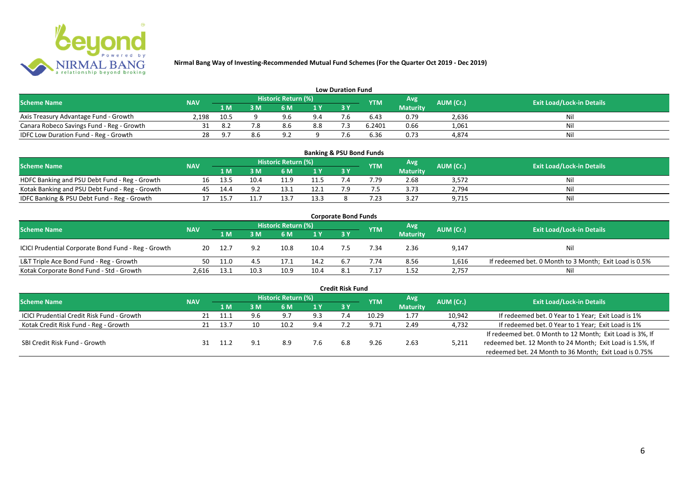

|                                           |            |      |    |          |                                                        | <b>Low Duration Fund</b> |        |                                  |       |     |
|-------------------------------------------|------------|------|----|----------|--------------------------------------------------------|--------------------------|--------|----------------------------------|-------|-----|
| <b>Scheme Name</b>                        | <b>NAV</b> |      |    |          | Historic Return (%)<br>Avg'<br>AUM (Cr.)<br><b>YTM</b> |                          |        | <b>Exit Load/Lock-in Details</b> |       |     |
|                                           |            | 1 M  | sм | 6 M      | 1 Y                                                    | 3 Y                      |        | <b>Maturity</b>                  |       |     |
| Axis Treasury Advantage Fund - Growth     | 2.198      | 10.5 |    | 9.6      | 9.4                                                    |                          | 6.43   | 0.79                             | 2,636 | Nil |
| Canara Robeco Savings Fund - Reg - Growth |            | 8.   |    | 8.6      | 8.8                                                    |                          | 6.2401 | 0.66                             | 1,061 | Nil |
| IDFC Low Duration Fund - Reg - Growth     |            | - Q  |    | $\Omega$ |                                                        |                          | 6.36   | 0.73                             | 4,874 | Nil |

| <b>Banking &amp; PSU Bond Funds</b>            |            |      |      |                            |      |  |            |                 |           |                                  |  |  |  |
|------------------------------------------------|------------|------|------|----------------------------|------|--|------------|-----------------|-----------|----------------------------------|--|--|--|
| <b>Scheme Name</b>                             | <b>NAV</b> |      |      | <b>Historic Return (%)</b> |      |  | <b>YTM</b> | Avg             | AUM (Cr.) | <b>Exit Load/Lock-in Details</b> |  |  |  |
|                                                |            | 1 M  | ١M   | 6 M                        |      |  |            | <b>Maturity</b> |           |                                  |  |  |  |
| HDFC Banking and PSU Debt Fund - Reg - Growth  |            | 13.5 | 10.4 |                            |      |  | 7.79       | 2.68            | 3,572     | Nil                              |  |  |  |
| Kotak Banking and PSU Debt Fund - Reg - Growth |            |      |      |                            |      |  |            | 3.73            | 2,794     | Nil                              |  |  |  |
| IDFC Banking & PSU Debt Fund - Reg - Growth    |            |      |      |                            | 13.3 |  | 7.23       | 3.27            | 9,715     | Nil                              |  |  |  |

|                                                     |            |      |      |                     |      | <b>Corporate Bond Funds</b> |            |                 |           |                                                        |
|-----------------------------------------------------|------------|------|------|---------------------|------|-----------------------------|------------|-----------------|-----------|--------------------------------------------------------|
| <b>Scheme Name</b>                                  | <b>NAV</b> |      |      | Historic Return (%) |      |                             | <b>YTM</b> | Avg             | AUM (Cr.) | <b>Exit Load/Lock-in Details</b>                       |
|                                                     |            | 1 M  | : M  | 6 M                 | 1Y   | 3Y                          |            | <b>Maturity</b> |           |                                                        |
| ICICI Prudential Corporate Bond Fund - Reg - Growth | 20         | 12.7 |      | 10.8                | 10.4 |                             | 7.34       | 2.36            | 9,147     | Nil                                                    |
| L&T Triple Ace Bond Fund - Reg - Growth             | 50         | 11.0 |      | 17.1                | 14.2 | 6.7                         | 7.74       | 8.56            | 1,616     | If redeemed bet. 0 Month to 3 Month; Exit Load is 0.5% |
| Kotak Corporate Bond Fund - Std - Growth            | 2.616      | 13.1 | 10.3 | 10.9                | 10.4 |                             | .17        | 1.52            | 2,757     | Nil                                                    |

|                                            |            |         |     |                            |      | <b>Credit Risk Fund</b> |            |                 |           |                                                           |
|--------------------------------------------|------------|---------|-----|----------------------------|------|-------------------------|------------|-----------------|-----------|-----------------------------------------------------------|
| <b>Scheme Name</b>                         | <b>NAV</b> |         |     | <b>Historic Return (%)</b> |      |                         | <b>YTM</b> | Avg             | AUM (Cr.) | <b>Exit Load/Lock-in Details</b>                          |
|                                            |            | 1 M.    | 3 M | 6 M                        | '1 Y | 3 Y                     |            | <b>Maturity</b> |           |                                                           |
| ICICI Prudential Credit Risk Fund - Growth |            |         |     | 9.                         | 9.3  |                         | 10.29      | 1.77            | 10,942    | If redeemed bet. 0 Year to 1 Year; Exit Load is 1%        |
| Kotak Credit Risk Fund - Reg - Growth      |            | 13.7    |     | 10.2                       | 9.4  |                         | 9.71       | 2.49            | 4,732     | If redeemed bet. 0 Year to 1 Year; Exit Load is 1%        |
|                                            |            |         |     |                            |      |                         |            |                 |           | If redeemed bet. 0 Month to 12 Month; Exit Load is 3%, If |
| SBI Credit Risk Fund - Growth              |            | $-11.2$ |     | 8.9                        | 7.b  | 6.8                     | 9.26       | 2.63            | 5,211     | redeemed bet. 12 Month to 24 Month; Exit Load is 1.5%, If |
|                                            |            |         |     |                            |      |                         |            |                 |           | redeemed bet. 24 Month to 36 Month; Exit Load is 0.75%    |